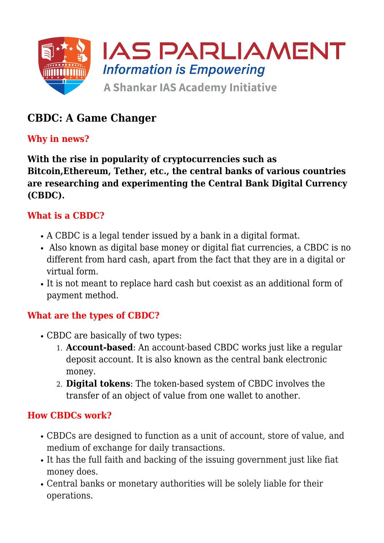

# **CBDC: A Game Changer**

# **Why in news?**

**With the rise in popularity of cryptocurrencies such as Bitcoin,Ethereum, Tether, etc., the central banks of various countries are researching and experimenting the Central Bank Digital Currency (CBDC).**

# **What is a CBDC?**

- A CBDC is a legal tender issued by a bank in a digital format.
- Also known as digital base money or digital fiat currencies, a CBDC is no different from hard cash, apart from the fact that they are in a digital or virtual form.
- It is not meant to replace hard cash but coexist as an additional form of payment method.

# **What are the types of CBDC?**

- CBDC are basically of two types:
	- 1. **Account-based**: An account-based CBDC works just like a regular deposit account. It is also known as the central bank electronic money.
	- 2. **Digital tokens**: The token-based system of CBDC involves the transfer of an object of value from one wallet to another.

# **How CBDCs work?**

- CBDCs are designed to function as a unit of account, store of value, and medium of exchange for daily transactions.
- It has the full faith and backing of the issuing government just like fiat money does.
- Central banks or monetary authorities will be solely liable for their operations.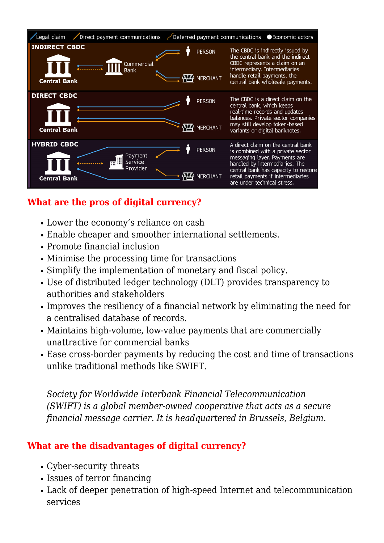

# **What are the pros of digital currency?**

- Lower the economy's reliance on cash
- Enable cheaper and smoother international settlements.
- Promote financial inclusion
- Minimise the processing time for transactions
- Simplify the implementation of monetary and fiscal policy.
- Use of distributed ledger technology (DLT) provides transparency to authorities and stakeholders
- Improves the resiliency of a financial network by eliminating the need for a centralised database of records.
- Maintains high-volume, low-value payments that are commercially unattractive for commercial banks
- Ease cross-border payments by reducing the cost and time of transactions unlike traditional methods like SWIFT.

*Society for Worldwide Interbank Financial Telecommunication (SWIFT) is a global member-owned cooperative that acts as a secure financial message carrier. It is headquartered in Brussels, Belgium.*

# **What are the disadvantages of digital currency?**

- Cyber-security threats
- Issues of terror financing
- Lack of deeper penetration of high-speed Internet and telecommunication services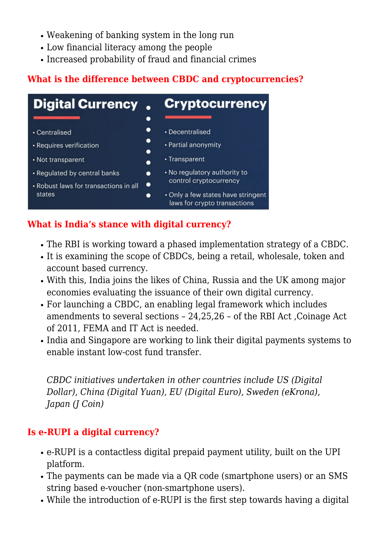- Weakening of banking system in the long run
- Low financial literacy among the people
- Increased probability of fraud and financial crimes

#### **What is the difference between CBDC and cryptocurrencies?**

#### **Digital Currency Cryptocurrency** ▲ • Centralised • Decentralised • Partial anonymity • Requires verification · Transparent • Not transparent • Regulated by central banks . No regulatory authority to  $\bullet$ control cryptocurrency  $\bullet$ • Robust laws for transactions in all states • Only a few states have stringent  $\bullet$

# **What is India's stance with digital currency?**

The RBI is working toward a phased implementation strategy of a CBDC.

laws for crypto transactions

- It is examining the scope of CBDCs, being a retail, wholesale, token and account based currency.
- With this, India joins the likes of China, Russia and the UK among major economies evaluating the issuance of their own digital currency.
- For launching a CBDC, an enabling legal framework which includes amendments to several sections – 24,25,26 – of the RBI Act ,Coinage Act of 2011, FEMA and IT Act is needed.
- India and Singapore are working to link their digital payments systems to enable instant low-cost fund transfer.

*CBDC initiatives undertaken in other countries include US (Digital Dollar), China (Digital Yuan), EU (Digital Euro), Sweden (eKrona), Japan (J Coin)*

# **Is e-RUPI a digital currency?**

- e-RUPI is a contactless digital prepaid payment utility, built on the UPI platform.
- The payments can be made via a QR code (smartphone users) or an SMS string based e-voucher (non-smartphone users).
- While the introduction of e-RUPI is the first step towards having a digital